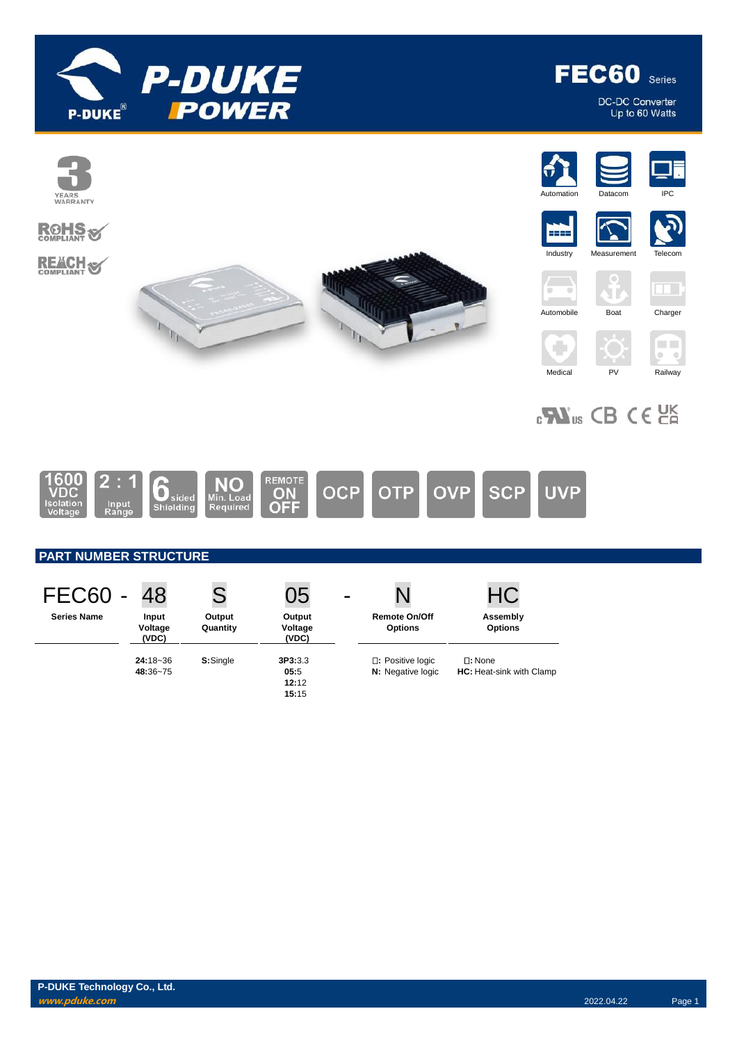

DC-DC Converter<br>Up to 60 Watts



# **Nus CB CE LE**



# **PART NUMBER STRUCTURE**

| FEC60              | 48                        |                    | 05                                | - |                                               | $\sqrt{2}$                                   |
|--------------------|---------------------------|--------------------|-----------------------------------|---|-----------------------------------------------|----------------------------------------------|
| <b>Series Name</b> | Input<br>Voltage<br>(VDC) | Output<br>Quantity | Output<br>Voltage<br>(VDC)        |   | <b>Remote On/Off</b><br><b>Options</b>        | Assembly<br><b>Options</b>                   |
|                    | 24:18~36<br>48:36~75      | S:Single           | 3P3:3.3<br>05:5<br>12:12<br>15:15 |   | □: Positive logic<br><b>N:</b> Negative logic | $\square$ : None<br>HC: Heat-sink with Clamp |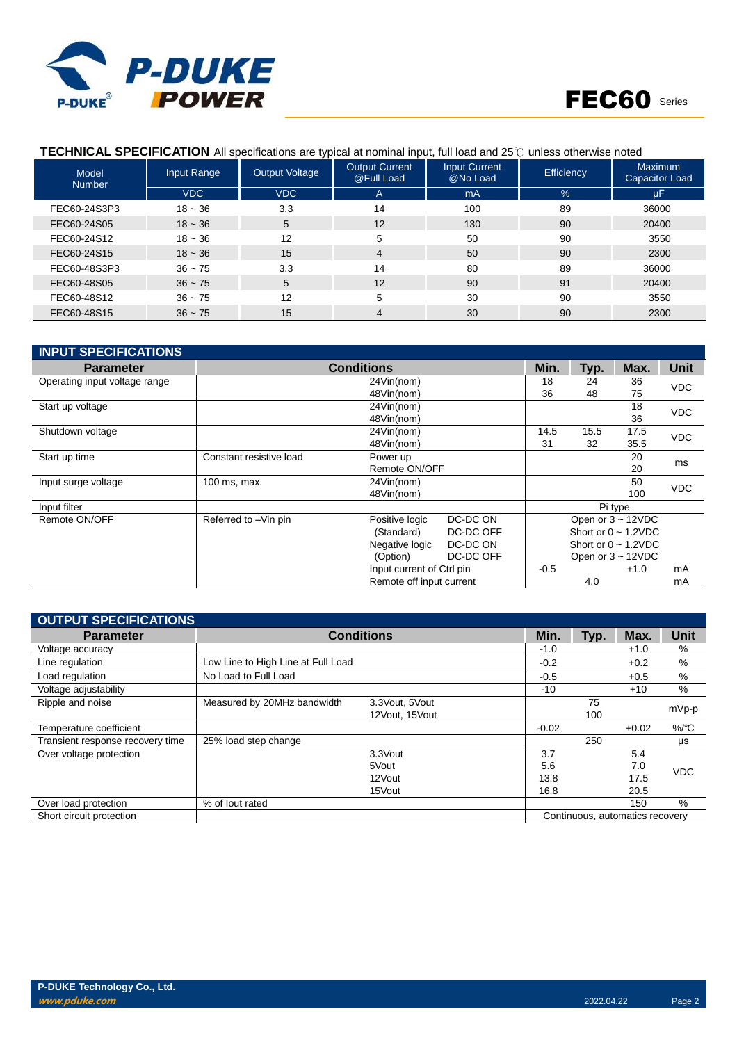

### **TECHNICAL SPECIFICATION** All specifications are typical at nominal input, full load and 25℃ unless otherwise noted

| <b>Model</b><br><b>Number</b> | Input Range | <b>Output Voltage</b> | <b>Output Current</b><br>@Full Load | Input Current<br>@No Load | <b>Efficiency</b> | <b>Maximum</b><br><b>Capacitor Load</b> |
|-------------------------------|-------------|-----------------------|-------------------------------------|---------------------------|-------------------|-----------------------------------------|
|                               | <b>VDC</b>  | <b>VDC</b>            | $\overline{A}$                      | mA                        | %                 | uF                                      |
| FEC60-24S3P3                  | $18 - 36$   | 3.3                   | 14                                  | 100                       | 89                | 36000                                   |
| FEC60-24S05                   | $18 - 36$   | 5                     | 12                                  | 130                       | 90                | 20400                                   |
| FEC60-24S12                   | $18 - 36$   | 12                    | 5                                   | 50                        | 90                | 3550                                    |
| FEC60-24S15                   | $18 - 36$   | 15                    | $\overline{4}$                      | 50                        | 90                | 2300                                    |
| FEC60-48S3P3                  | $36 - 75$   | 3.3                   | 14                                  | 80                        | 89                | 36000                                   |
| FEC60-48S05                   | $36 - 75$   | 5                     | 12                                  | 90                        | 91                | 20400                                   |
| FEC60-48S12                   | $36 - 75$   | 12                    | 5                                   | 30                        | 90                | 3550                                    |
| FEC60-48S15                   | $36 - 75$   | 15                    | 4                                   | 30                        | 90                | 2300                                    |

| <b>INPUT SPECIFICATIONS</b>   |                         |                           |           |        |      |                           |            |
|-------------------------------|-------------------------|---------------------------|-----------|--------|------|---------------------------|------------|
| <b>Parameter</b>              |                         | Min.                      | Typ.      | Max.   | Unit |                           |            |
| Operating input voltage range |                         | 24Vin(nom)                |           | 18     | 24   | 36                        | <b>VDC</b> |
|                               |                         | 48Vin(nom)                |           | 36     | 48   | 75                        |            |
| Start up voltage              |                         | 24Vin(nom)                |           |        |      | 18                        | <b>VDC</b> |
|                               |                         | 48Vin(nom)                |           |        |      | 36                        |            |
| Shutdown voltage              |                         | 24Vin(nom)                |           | 14.5   | 15.5 | 17.5                      | <b>VDC</b> |
|                               |                         | 48Vin(nom)                |           | 31     | 32   | 35.5                      |            |
| Start up time                 | Constant resistive load | Power up                  |           |        |      | 20                        | ms         |
|                               |                         | Remote ON/OFF             |           |        |      | 20                        |            |
| Input surge voltage           | 100 ms, max.            | 24Vin(nom)                |           |        |      | 50                        | <b>VDC</b> |
|                               |                         | 48Vin(nom)                |           |        |      | 100                       |            |
| Input filter                  |                         |                           |           |        |      | Pi type                   |            |
| Remote ON/OFF                 | Referred to -Vin pin    | Positive logic            | DC-DC ON  |        |      | Open or $3 \sim 12$ VDC   |            |
|                               |                         | (Standard)                | DC-DC OFF |        |      | Short or $0 \sim 1.2$ VDC |            |
|                               |                         | Negative logic            | DC-DC ON  |        |      | Short or $0 \sim 1.2$ VDC |            |
|                               |                         | (Option)                  | DC-DC OFF |        |      | Open or $3 \sim 12$ VDC   |            |
|                               |                         | Input current of Ctrl pin |           | $-0.5$ |      | $+1.0$                    | mA         |
|                               |                         | Remote off input current  |           |        | 4.0  |                           | mA         |

| <b>OUTPUT SPECIFICATIONS</b>     |                                    |                                  |         |           |                                 |             |
|----------------------------------|------------------------------------|----------------------------------|---------|-----------|---------------------------------|-------------|
| <b>Parameter</b>                 |                                    | <b>Conditions</b>                | Min.    | Typ.      | Max.                            | <b>Unit</b> |
| Voltage accuracy                 |                                    |                                  | $-1.0$  |           | $+1.0$                          | %           |
| Line regulation                  | Low Line to High Line at Full Load |                                  | $-0.2$  |           | $+0.2$                          | %           |
| Load regulation                  | No Load to Full Load               |                                  | $-0.5$  |           | $+0.5$                          | %           |
| Voltage adjustability            |                                    |                                  | $-10$   |           | $+10$                           | %           |
| Ripple and noise                 | Measured by 20MHz bandwidth        | 3.3Vout, 5Vout<br>12Vout, 15Vout |         | 75<br>100 |                                 | mVp-p       |
| Temperature coefficient          |                                    |                                  | $-0.02$ |           | $+0.02$                         | $\%$ /°C    |
| Transient response recovery time | 25% load step change               |                                  |         | 250       |                                 | μs          |
| Over voltage protection          |                                    | 3.3Vout                          | 3.7     |           | 5.4                             |             |
|                                  |                                    | 5Vout                            | 5.6     |           | 7.0                             | <b>VDC</b>  |
|                                  |                                    | 12Vout                           | 13.8    |           | 17.5                            |             |
|                                  |                                    | 15Vout                           | 16.8    |           | 20.5                            |             |
| Over load protection             | % of lout rated                    |                                  |         |           | 150                             | %           |
| Short circuit protection         |                                    |                                  |         |           | Continuous, automatics recovery |             |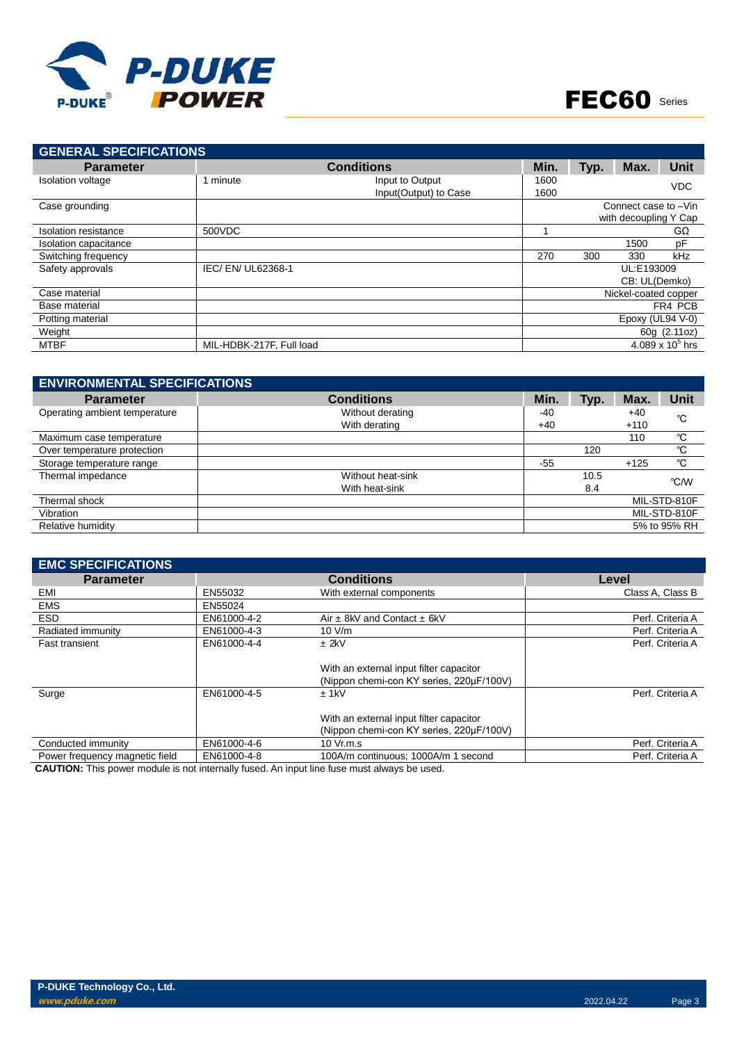

| <b>GENERAL SPECIFICATIONS</b> |                          |                       |      |      |                       |                    |
|-------------------------------|--------------------------|-----------------------|------|------|-----------------------|--------------------|
| <b>Parameter</b>              | <b>Conditions</b>        | Min.                  | Typ. | Max. | Unit                  |                    |
| Isolation voltage             | 1 minute                 | Input to Output       | 1600 |      |                       | <b>VDC</b>         |
|                               |                          | Input(Output) to Case | 1600 |      |                       |                    |
| Case grounding                |                          |                       |      |      | Connect case to -Vin  |                    |
|                               |                          |                       |      |      | with decoupling Y Cap |                    |
| Isolation resistance          | 500VDC                   |                       |      |      |                       | GΩ                 |
| Isolation capacitance         |                          |                       |      |      | 1500                  | pF                 |
| Switching frequency           |                          |                       | 270  | 300  | 330                   | kHz                |
| Safety approvals              | IEC/EN/UL62368-1         |                       |      |      | UL:E193009            |                    |
|                               |                          |                       |      |      | CB: UL(Demko)         |                    |
| Case material                 |                          |                       |      |      | Nickel-coated copper  |                    |
| Base material                 |                          |                       |      |      |                       | FR4 PCB            |
| Potting material              |                          |                       |      |      | Epoxy (UL94 V-0)      |                    |
| Weight                        |                          |                       |      |      |                       | 60g (2.11oz)       |
| <b>MTBF</b>                   | MIL-HDBK-217F, Full load |                       |      |      |                       | 4.089 x $10^5$ hrs |

| <b>ENVIRONMENTAL SPECIFICATIONS</b> |                   |       |      |        |              |
|-------------------------------------|-------------------|-------|------|--------|--------------|
| <b>Parameter</b>                    | <b>Conditions</b> | Min.  | Typ. | Max.   | <b>Unit</b>  |
| Operating ambient temperature       | Without derating  | -40   |      | $+40$  | °C           |
|                                     | With derating     | $+40$ |      | $+110$ |              |
| Maximum case temperature            |                   |       |      | 110    | °C           |
| Over temperature protection         |                   |       | 120  |        | °C           |
| Storage temperature range           |                   | $-55$ |      | $+125$ | °C           |
| Thermal impedance                   | Without heat-sink |       | 10.5 |        | °C/W         |
|                                     | With heat-sink    |       | 8.4  |        |              |
| Thermal shock                       |                   |       |      |        | MIL-STD-810F |
| Vibration                           |                   |       |      |        | MIL-STD-810F |
| Relative humidity                   |                   |       |      |        | 5% to 95% RH |

| <b>EMC SPECIFICATIONS</b>      |             |                                                                                     |                  |
|--------------------------------|-------------|-------------------------------------------------------------------------------------|------------------|
| <b>Parameter</b>               |             | <b>Conditions</b>                                                                   | Level            |
| EMI                            | EN55032     | With external components                                                            | Class A, Class B |
| <b>EMS</b>                     | EN55024     |                                                                                     |                  |
| <b>ESD</b>                     | EN61000-4-2 | Air $\pm$ 8kV and Contact $\pm$ 6kV                                                 | Perf. Criteria A |
| Radiated immunity              | EN61000-4-3 | 10 V/m                                                                              | Perf. Criteria A |
| <b>Fast transient</b>          | EN61000-4-4 | $±$ 2kV                                                                             | Perf. Criteria A |
|                                |             | With an external input filter capacitor<br>(Nippon chemi-con KY series, 220µF/100V) |                  |
| Surge                          | EN61000-4-5 | $±$ 1kV<br>With an external input filter capacitor                                  | Perf. Criteria A |
|                                |             | (Nippon chemi-con KY series, 220µF/100V)                                            |                  |
| Conducted immunity             | EN61000-4-6 | 10 Vr.m.s                                                                           | Perf. Criteria A |
| Power frequency magnetic field | EN61000-4-8 | 100A/m continuous; 1000A/m 1 second                                                 | Perf. Criteria A |

**CAUTION:** This power module is not internally fused. An input line fuse must always be used.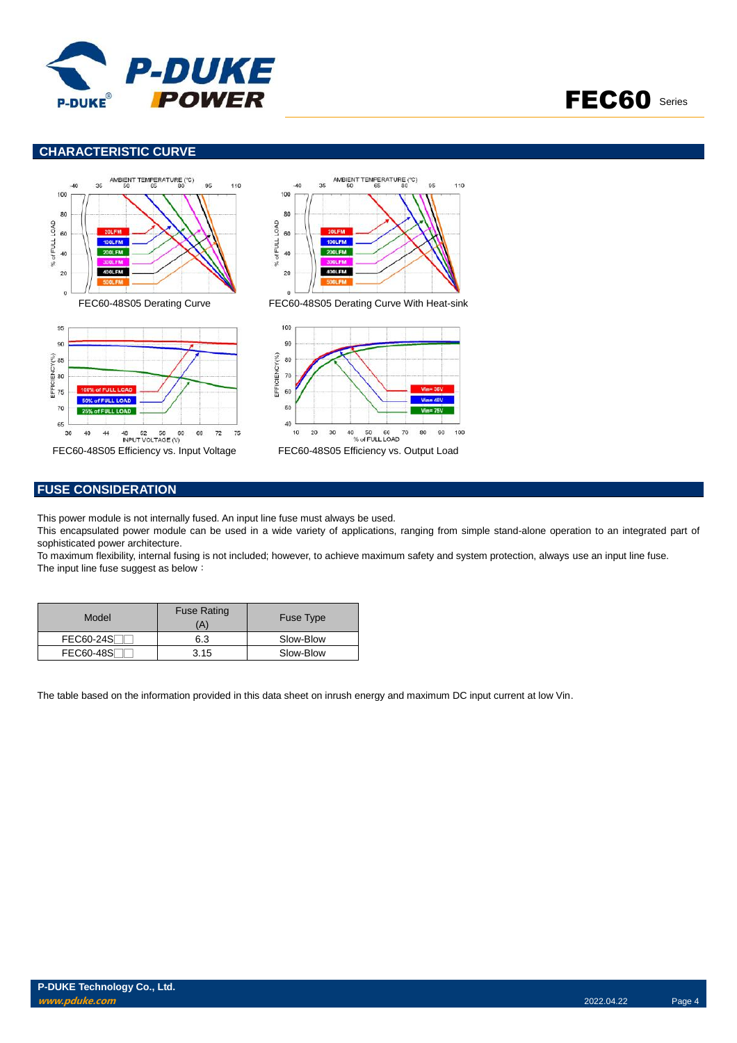

## **CHARACTERISTIC CURVE**



# **FUSE CONSIDERATION**

This power module is not internally fused. An input line fuse must always be used.

This encapsulated power module can be used in a wide variety of applications, ranging from simple stand-alone operation to an integrated part of sophisticated power architecture.

To maximum flexibility, internal fusing is not included; however, to achieve maximum safety and system protection, always use an input line fuse. The input line fuse suggest as below:

| Model            | <b>Fuse Rating</b><br>`A` | Fuse Type |
|------------------|---------------------------|-----------|
| FEC60-24S        | 6.3                       | Slow-Blow |
| <b>FEC60-48S</b> | 3.15                      | Slow-Blow |

The table based on the information provided in this data sheet on inrush energy and maximum DC input current at low Vin.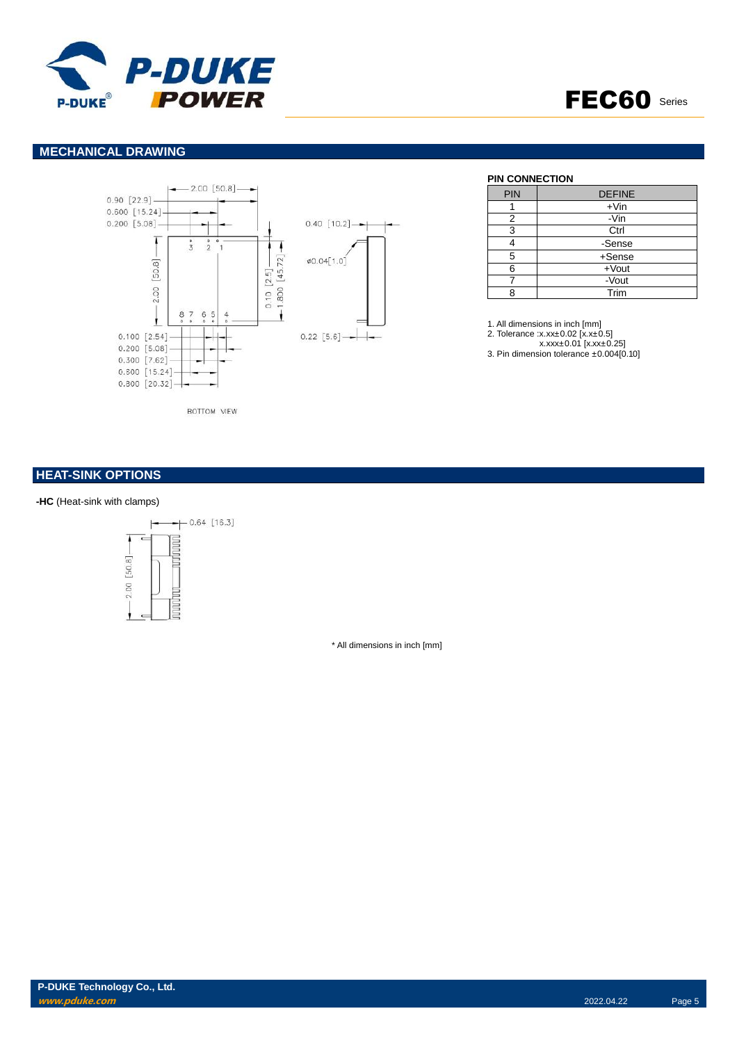



### **MECHANICAL DRAWING**



BOTTOM VIEW

### **HEAT-SINK OPTIONS**

#### **-HC** (Heat-sink with clamps)



\* All dimensions in inch [mm]

#### **PIN CONNECTION**

| PIN | <b>DEFINE</b> |
|-----|---------------|
|     | $+V$ in       |
| 2   | -Vin          |
| 3   | Ctrl          |
|     | -Sense        |
| 5   | $+$ Sense     |
| 6   | $+$ Vout      |
|     | -Vout         |
|     | Trim          |

1. All dimensions in inch [mm] 2. Tolerance :x.xx±0.02 [x.x±0.5]

x.xxx±0.01 [x.xx±0.25] 3. Pin dimension tolerance ±0.004[0.10]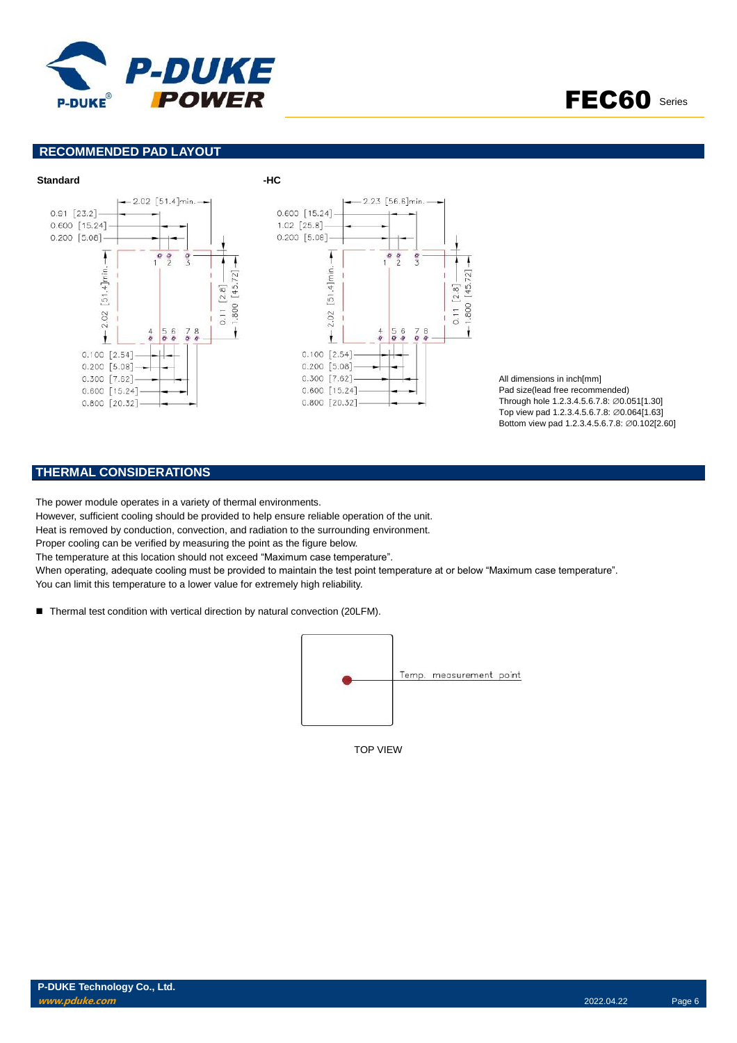

### **RECOMMENDED PAD LAYOUT**



All dimensions in inch[mm] Pad size(lead free recommended) Through hole 1.2.3.4.5.6.7.8: ∅0.051[1.30] Top view pad 1.2.3.4.5.6.7.8: ∅0.064[1.63] Bottom view pad 1.2.3.4.5.6.7.8: ∅0.102[2.60]

## **THERMAL CONSIDERATIONS**

The power module operates in a variety of thermal environments.

However, sufficient cooling should be provided to help ensure reliable operation of the unit.

Heat is removed by conduction, convection, and radiation to the surrounding environment.

Proper cooling can be verified by measuring the point as the figure below.

The temperature at this location should not exceed "Maximum case temperature".

When operating, adequate cooling must be provided to maintain the test point temperature at or below "Maximum case temperature". You can limit this temperature to a lower value for extremely high reliability.

■ Thermal test condition with vertical direction by natural convection (20LFM).



TOP VIEW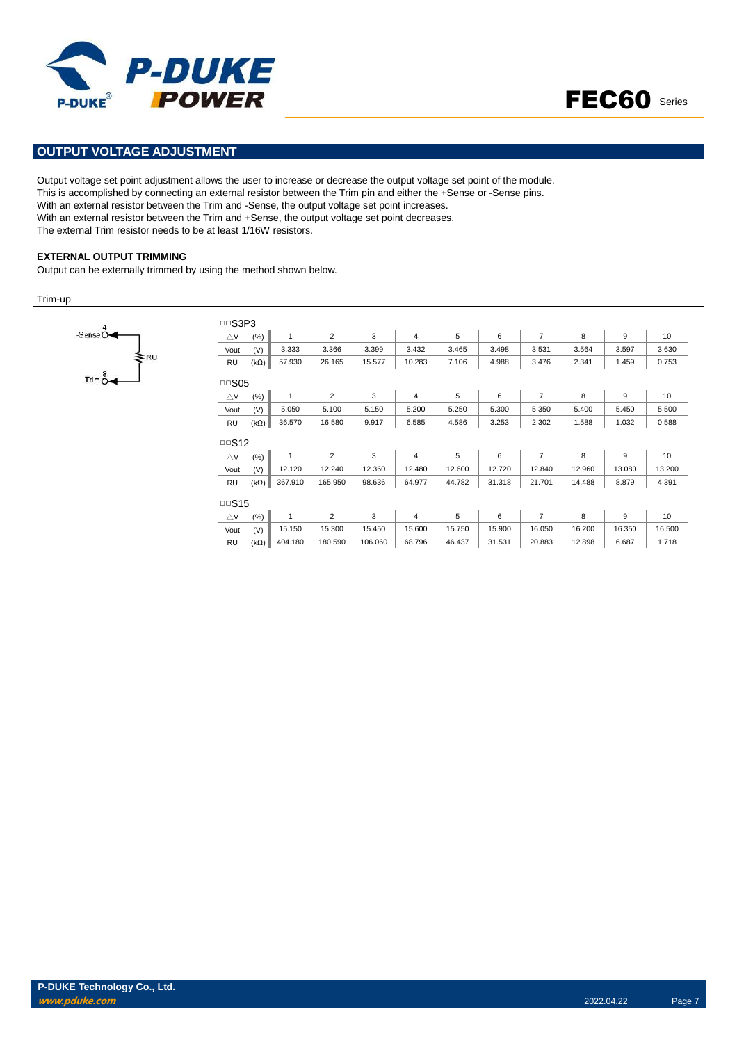



## **OUTPUT VOLTAGE ADJUSTMENT**

Output voltage set point adjustment allows the user to increase or decrease the output voltage set point of the module. This is accomplished by connecting an external resistor between the Trim pin and either the +Sense or -Sense pins. With an external resistor between the Trim and -Sense, the output voltage set point increases. With an external resistor between the Trim and +Sense, the output voltage set point decreases. The external Trim resistor needs to be at least 1/16W resistors.

#### **EXTERNAL OUTPUT TRIMMING**

Output can be externally trimmed by using the method shown below.

Trim-up



| □□S3P3        |             |              |                |         |                |        |        |                |        |        |        |
|---------------|-------------|--------------|----------------|---------|----------------|--------|--------|----------------|--------|--------|--------|
| $\triangle$ V | $(\%)$      | $\mathbf{1}$ | 2              | 3       | 4              | 5      | 6      | 7              | 8      | 9      | 10     |
| Vout          | (V)         | 3.333        | 3.366          | 3.399   | 3.432          | 3.465  | 3.498  | 3.531          | 3.564  | 3.597  | 3.630  |
| <b>RU</b>     | $(k\Omega)$ | 57.930       | 26.165         | 15.577  | 10.283         | 7.106  | 4.988  | 3.476          | 2.341  | 1.459  | 0.753  |
| $\Box$ SO5    |             |              |                |         |                |        |        |                |        |        |        |
| $\triangle$ V | $(\%)$      | 1            | $\overline{2}$ | 3       | 4              | 5      | 6      | 7              | 8      | 9      | 10     |
| Vout          | (V)         | 5.050        | 5.100          | 5.150   | 5.200          | 5.250  | 5.300  | 5.350          | 5.400  | 5.450  | 5.500  |
| <b>RU</b>     | $(k\Omega)$ | 36.570       | 16.580         | 9.917   | 6.585          | 4.586  | 3.253  | 2.302          | 1.588  | 1.032  | 0.588  |
| □□ $S12$      |             |              |                |         |                |        |        |                |        |        |        |
| $\triangle$ V | $(\%)$      | $\mathbf{1}$ | $\overline{2}$ | 3       | 4              | 5      | 6      | 7              | 8      | 9      | 10     |
| Vout          | (V)         | 12.120       | 12.240         | 12.360  | 12.480         | 12.600 | 12.720 | 12.840         | 12.960 | 13.080 | 13.200 |
| <b>RU</b>     | $(k\Omega)$ | 367.910      | 165.950        | 98.636  | 64.977         | 44.782 | 31.318 | 21.701         | 14.488 | 8.879  | 4.391  |
| □□S15         |             |              |                |         |                |        |        |                |        |        |        |
| $\triangle$ V | $(\%)$      | 1            | 2              | 3       | $\overline{4}$ | 5      | 6      | $\overline{7}$ | 8      | 9      | 10     |
| Vout          | (V)         | 15.150       | 15.300         | 15.450  | 15.600         | 15.750 | 15.900 | 16.050         | 16.200 | 16.350 | 16.500 |
| <b>RU</b>     | $(k\Omega)$ | 404.180      | 180.590        | 106.060 | 68.796         | 46.437 | 31.531 | 20.883         | 12.898 | 6.687  | 1.718  |